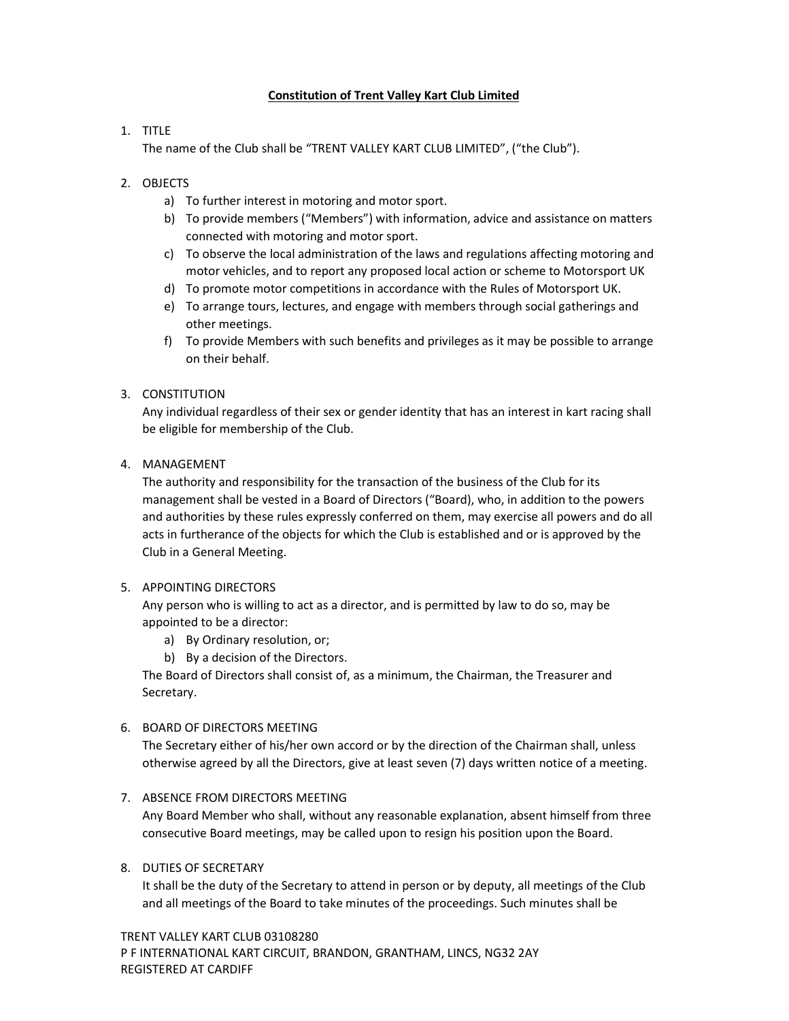## **Constitution of Trent Valley Kart Club Limited**

## 1. TITLE

The name of the Club shall be "TRENT VALLEY KART CLUB LIMITED", ("the Club").

## 2. OBJECTS

- a) To further interest in motoring and motor sport.
- b) To provide members ("Members") with information, advice and assistance on matters connected with motoring and motor sport.
- c) To observe the local administration of the laws and regulations affecting motoring and motor vehicles, and to report any proposed local action or scheme to Motorsport UK
- d) To promote motor competitions in accordance with the Rules of Motorsport UK.
- e) To arrange tours, lectures, and engage with members through social gatherings and other meetings.
- f) To provide Members with such benefits and privileges as it may be possible to arrange on their behalf.

## 3. CONSTITUTION

Any individual regardless of their sex or gender identity that has an interest in kart racing shall be eligible for membership of the Club.

## 4. MANAGEMENT

The authority and responsibility for the transaction of the business of the Club for its management shall be vested in a Board of Directors ("Board), who, in addition to the powers and authorities by these rules expressly conferred on them, may exercise all powers and do all acts in furtherance of the objects for which the Club is established and or is approved by the Club in a General Meeting.

## 5. APPOINTING DIRECTORS

Any person who is willing to act as a director, and is permitted by law to do so, may be appointed to be a director:

- a) By Ordinary resolution, or;
- b) By a decision of the Directors.

The Board of Directors shall consist of, as a minimum, the Chairman, the Treasurer and Secretary.

## 6. BOARD OF DIRECTORS MEETING

The Secretary either of his/her own accord or by the direction of the Chairman shall, unless otherwise agreed by all the Directors, give at least seven (7) days written notice of a meeting.

# 7. ABSENCE FROM DIRECTORS MEETING

Any Board Member who shall, without any reasonable explanation, absent himself from three consecutive Board meetings, may be called upon to resign his position upon the Board.

## 8. DUTIES OF SECRETARY

It shall be the duty of the Secretary to attend in person or by deputy, all meetings of the Club and all meetings of the Board to take minutes of the proceedings. Such minutes shall be

TRENT VALLEY KART CLUB 03108280 P F INTERNATIONAL KART CIRCUIT, BRANDON, GRANTHAM, LINCS, NG32 2AY REGISTERED AT CARDIFF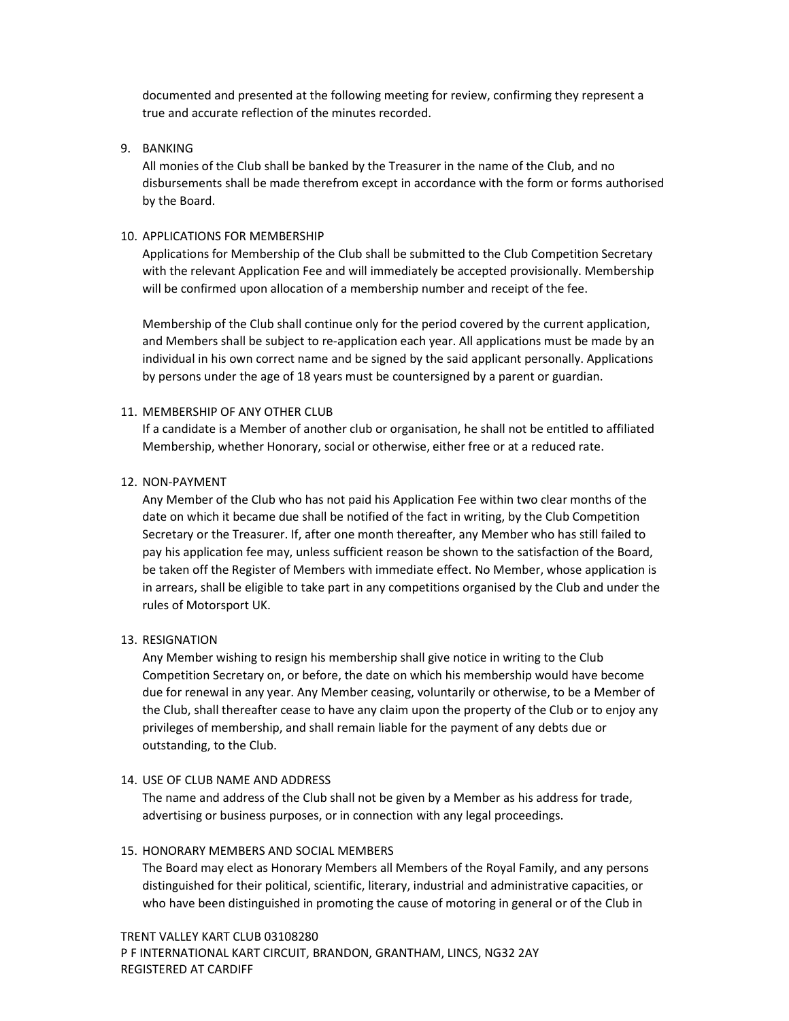documented and presented at the following meeting for review, confirming they represent a true and accurate reflection of the minutes recorded.

### 9. BANKING

All monies of the Club shall be banked by the Treasurer in the name of the Club, and no disbursements shall be made therefrom except in accordance with the form or forms authorised by the Board.

### 10. APPLICATIONS FOR MEMBERSHIP

Applications for Membership of the Club shall be submitted to the Club Competition Secretary with the relevant Application Fee and will immediately be accepted provisionally. Membership will be confirmed upon allocation of a membership number and receipt of the fee.

Membership of the Club shall continue only for the period covered by the current application, and Members shall be subject to re-application each year. All applications must be made by an individual in his own correct name and be signed by the said applicant personally. Applications by persons under the age of 18 years must be countersigned by a parent or guardian.

### 11. MEMBERSHIP OF ANY OTHER CLUB

If a candidate is a Member of another club or organisation, he shall not be entitled to affiliated Membership, whether Honorary, social or otherwise, either free or at a reduced rate.

### 12. NON-PAYMENT

Any Member of the Club who has not paid his Application Fee within two clear months of the date on which it became due shall be notified of the fact in writing, by the Club Competition Secretary or the Treasurer. If, after one month thereafter, any Member who has still failed to pay his application fee may, unless sufficient reason be shown to the satisfaction of the Board, be taken off the Register of Members with immediate effect. No Member, whose application is in arrears, shall be eligible to take part in any competitions organised by the Club and under the rules of Motorsport UK.

#### 13. RESIGNATION

Any Member wishing to resign his membership shall give notice in writing to the Club Competition Secretary on, or before, the date on which his membership would have become due for renewal in any year. Any Member ceasing, voluntarily or otherwise, to be a Member of the Club, shall thereafter cease to have any claim upon the property of the Club or to enjoy any privileges of membership, and shall remain liable for the payment of any debts due or outstanding, to the Club.

#### 14. USE OF CLUB NAME AND ADDRESS

The name and address of the Club shall not be given by a Member as his address for trade, advertising or business purposes, or in connection with any legal proceedings.

#### 15. HONORARY MEMBERS AND SOCIAL MEMBERS

The Board may elect as Honorary Members all Members of the Royal Family, and any persons distinguished for their political, scientific, literary, industrial and administrative capacities, or who have been distinguished in promoting the cause of motoring in general or of the Club in

TRENT VALLEY KART CLUB 03108280 P F INTERNATIONAL KART CIRCUIT, BRANDON, GRANTHAM, LINCS, NG32 2AY REGISTERED AT CARDIFF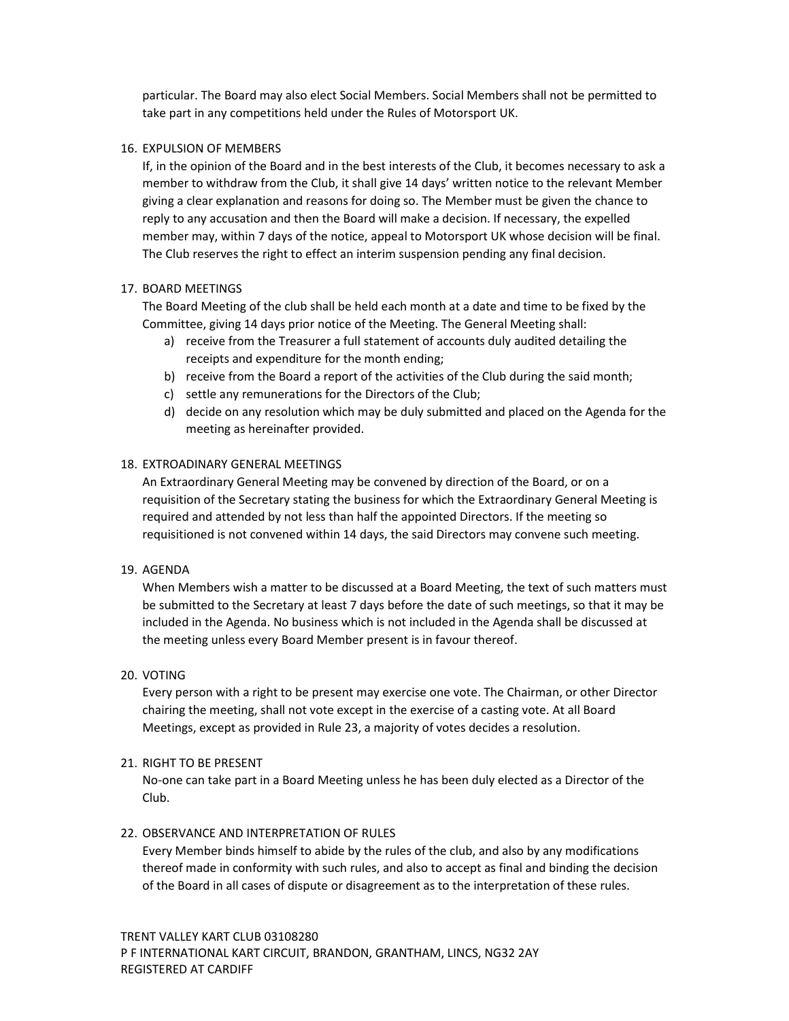particular. The Board may also elect Social Members. Social Members shall not be permitted to take part in any competitions held under the Rules of Motorsport UK.

### 16. EXPULSION OF MEMBERS

If, in the opinion of the Board and in the best interests of the Club, it becomes necessary to ask a member to withdraw from the Club, it shall give 14 days' written notice to the relevant Member giving a clear explanation and reasons for doing so. The Member must be given the chance to reply to any accusation and then the Board will make a decision. If necessary, the expelled member may, within 7 days of the notice, appeal to Motorsport UK whose decision will be final. The Club reserves the right to effect an interim suspension pending any final decision.

### 17. BOARD MEETINGS

The Board Meeting of the club shall be held each month at a date and time to be fixed by the Committee, giving 14 days prior notice of the Meeting. The General Meeting shall:

- a) receive from the Treasurer a full statement of accounts duly audited detailing the receipts and expenditure for the month ending;
- b) receive from the Board a report of the activities of the Club during the said month;
- c) settle any remunerations for the Directors of the Club;
- d) decide on any resolution which may be duly submitted and placed on the Agenda for the meeting as hereinafter provided.

## 18. EXTROADINARY GENERAL MEETINGS

An Extraordinary General Meeting may be convened by direction of the Board, or on a requisition of the Secretary stating the business for which the Extraordinary General Meeting is required and attended by not less than half the appointed Directors. If the meeting so requisitioned is not convened within 14 days, the said Directors may convene such meeting.

#### 19. AGENDA

When Members wish a matter to be discussed at a Board Meeting, the text of such matters must be submitted to the Secretary at least 7 days before the date of such meetings, so that it may be included in the Agenda. No business which is not included in the Agenda shall be discussed at the meeting unless every Board Member present is in favour thereof.

#### 20. VOTING

Every person with a right to be present may exercise one vote. The Chairman, or other Director chairing the meeting, shall not vote except in the exercise of a casting vote. At all Board Meetings, except as provided in Rule 23, a majority of votes decides a resolution.

## 21. RIGHT TO BE PRESENT

No-one can take part in a Board Meeting unless he has been duly elected as a Director of the Club.

## 22. OBSERVANCE AND INTERPRETATION OF RULES

Every Member binds himself to abide by the rules of the club, and also by any modifications thereof made in conformity with such rules, and also to accept as final and binding the decision of the Board in all cases of dispute or disagreement as to the interpretation of these rules.